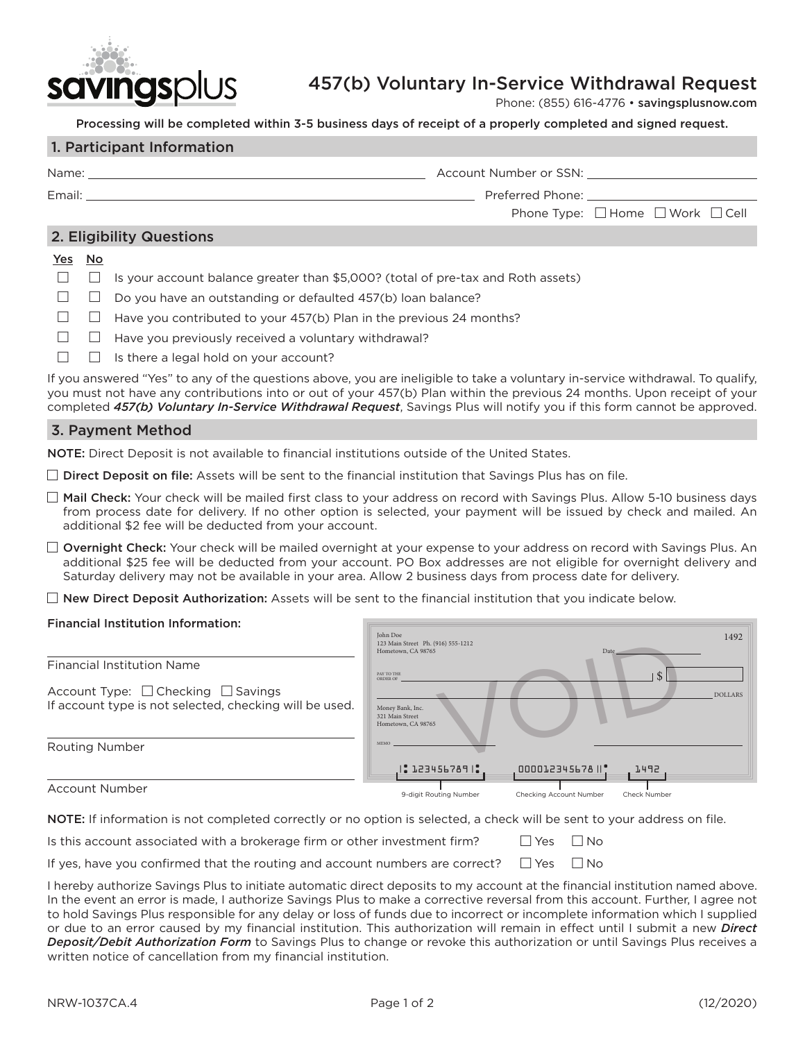

# 457(b) Voluntary In-Service Withdrawal Request

Phone: (855) 616-4776 • [savingsplusnow.com](https://savingsplusnow.com)

Processing will be completed within 3-5 business days of receipt of a properly completed and signed request.

#### 1. Participant Information

| Name:                    | Account Number or SSN: |                                                                                                                 |
|--------------------------|------------------------|-----------------------------------------------------------------------------------------------------------------|
| Email:                   |                        | Preferred Phone: The contract of the contract of the contract of the contract of the contract of the contract o |
|                          |                        | Phone Type: $\Box$ Home $\Box$ Work $\Box$ Cell                                                                 |
| 2. Eligibility Questions |                        |                                                                                                                 |

#### Yes No

|  |  |  |  |  | $\Box$ Is your account balance greater than \$5,000? (total of pre-tax and Roth assets) |  |
|--|--|--|--|--|-----------------------------------------------------------------------------------------|--|
|  |  |  |  |  |                                                                                         |  |

- $\Box$   $\Box$  Do you have an outstanding or defaulted 457(b) loan balance?
- $\Box$  Have you contributed to your 457(b) Plan in the previous 24 months?
- $\Box$  Have you previously received a voluntary withdrawal?
- $\Box$  Is there a legal hold on your account?

If you answered "Yes" to any of the questions above, you are ineligible to take a voluntary in-service withdrawal. To qualify, you must not have any contributions into or out of your 457(b) Plan within the previous 24 months. Upon receipt of your completed *457(b) Voluntary In-Service Withdrawal Request*, Savings Plus will notify you if this form cannot be approved.

#### 3. Payment Method

NOTE: Direct Deposit is not available to financial institutions outside of the United States.

 $\Box$  Direct Deposit on file: Assets will be sent to the financial institution that Savings Plus has on file.

- $\Box$  Mail Check: Your check will be mailed first class to your address on record with Savings Plus. Allow 5-10 business days from process date for delivery. If no other option is selected, your payment will be issued by check and mailed. An additional \$2 fee will be deducted from your account.
- $\Box$  Overnight Check: Your check will be mailed overnight at your expense to your address on record with Savings Plus. An additional \$25 fee will be deducted from your account. PO Box addresses are not eligible for overnight delivery and Saturday delivery may not be available in your area. Allow 2 business days from process date for delivery.
- $\Box$  New Direct Deposit Authorization: Assets will be sent to the financial institution that you indicate below.

### Financial Institution Information:

|                                                                                               | John Doe<br>123 Main Street Ph. (916) 555-1212<br>Hometown, CA 98765 | 1492<br>Date                            |  |
|-----------------------------------------------------------------------------------------------|----------------------------------------------------------------------|-----------------------------------------|--|
| <b>Financial Institution Name</b>                                                             | PAY TO THE<br>ORDER OF                                               |                                         |  |
| Account Type: □ Checking □ Savings<br>If account type is not selected, checking will be used. | Money Bank, Inc.<br>321 Main Street<br>Hometown, CA 98765            | <b>DOLLARS</b>                          |  |
| <b>Routing Number</b>                                                                         | <b>MEMO</b>                                                          |                                         |  |
|                                                                                               | 2123456789                                                           | 000012345678   *<br>1492                |  |
| <b>Account Number</b>                                                                         | 9-digit Routing Number                                               | Checking Account Number<br>Check Number |  |

NOTE: If information is not completed correctly or no option is selected, a check will be sent to your address on file.

| Is this account associated with a brokerage firm or other investment firm? | $\Box$ Yes $\Box$ No |  |
|----------------------------------------------------------------------------|----------------------|--|
|----------------------------------------------------------------------------|----------------------|--|

| If yes, have you confirmed that the routing and account numbers are correct? $\Box$ Yes $\Box$ No |  |  |
|---------------------------------------------------------------------------------------------------|--|--|
|---------------------------------------------------------------------------------------------------|--|--|

I hereby authorize Savings Plus to initiate automatic direct deposits to my account at the financial institution named above. In the event an error is made, I authorize Savings Plus to make a corrective reversal from this account. Further, I agree not to hold Savings Plus responsible for any delay or loss of funds due to incorrect or incomplete information which I supplied or due to an error caused by my financial institution. This authorization will remain in effect until I submit a new *Direct Deposit/Debit Authorization Form* to Savings Plus to change or revoke this authorization or until Savings Plus receives a written notice of cancellation from my financial institution.